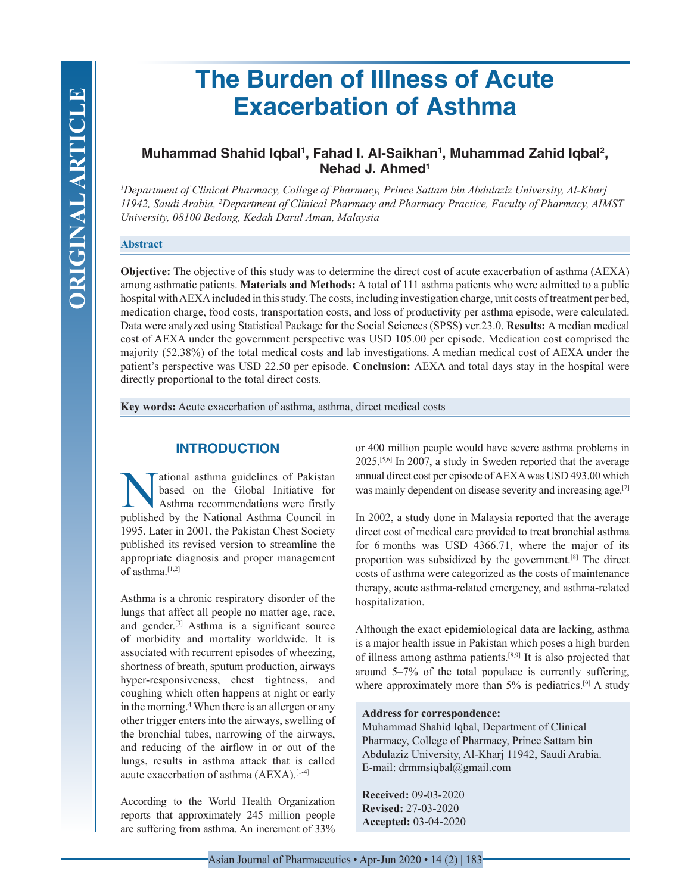# **The Burden of Illness of Acute Exacerbation of Asthma**

# **Muhammad Shahid Iqbal1 , Fahad I. Al-Saikhan1 , Muhammad Zahid Iqbal2 , Nehad J. Ahmed1**

*1 Department of Clinical Pharmacy, College of Pharmacy, Prince Sattam bin Abdulaziz University, Al-Kharj 11942, Saudi Arabia, 2 Department of Clinical Pharmacy and Pharmacy Practice, Faculty of Pharmacy, AIMST University, 08100 Bedong, Kedah Darul Aman, Malaysia*

#### **Abstract**

**Objective:** The objective of this study was to determine the direct cost of acute exacerbation of asthma (AEXA) among asthmatic patients. **Materials and Methods:** A total of 111 asthma patients who were admitted to a public hospital with AEXA included in this study. The costs, including investigation charge, unit costs of treatment per bed, medication charge, food costs, transportation costs, and loss of productivity per asthma episode, were calculated. Data were analyzed using Statistical Package for the Social Sciences (SPSS) ver.23.0. **Results:** A median medical cost of AEXA under the government perspective was USD 105.00 per episode. Medication cost comprised the majority (52.38%) of the total medical costs and lab investigations. A median medical cost of AEXA under the patient's perspective was USD 22.50 per episode. **Conclusion:** AEXA and total days stay in the hospital were directly proportional to the total direct costs.

**Key words:** Acute exacerbation of asthma, asthma, direct medical costs

# **INTRODUCTION**

Mational asthma guidelines of Pakistan<br>based on the Global Initiative for<br>Asthma recommendations were firstly<br>published by the National Asthma Council in based on the Global Initiative for Asthma recommendations were firstly published by the National Asthma Council in 1995. Later in 2001, the Pakistan Chest Society published its revised version to streamline the appropriate diagnosis and proper management of asthma.<sup>[1,2]</sup>

Asthma is a chronic respiratory disorder of the lungs that affect all people no matter age, race, and gender.[3] Asthma is a significant source of morbidity and mortality worldwide. It is associated with recurrent episodes of wheezing, shortness of breath, sputum production, airways hyper-responsiveness, chest tightness, and coughing which often happens at night or early in the morning.<sup>4</sup> When there is an allergen or any other trigger enters into the airways, swelling of the bronchial tubes, narrowing of the airways, and reducing of the airflow in or out of the lungs, results in asthma attack that is called acute exacerbation of asthma (AEXA).<sup>[1-4]</sup>

According to the World Health Organization reports that approximately 245 million people are suffering from asthma. An increment of 33%

or 400 million people would have severe asthma problems in 2025.[5,6] In 2007, a study in Sweden reported that the average annual direct cost per episode of AEXA was USD 493.00 which was mainly dependent on disease severity and increasing age.[7]

In 2002, a study done in Malaysia reported that the average direct cost of medical care provided to treat bronchial asthma for 6 months was USD 4366.71, where the major of its proportion was subsidized by the government.[8] The direct costs of asthma were categorized as the costs of maintenance therapy, acute asthma-related emergency, and asthma-related hospitalization.

Although the exact epidemiological data are lacking, asthma is a major health issue in Pakistan which poses a high burden of illness among asthma patients.[8,9] It is also projected that around 5–7% of the total populace is currently suffering, where approximately more than  $5\%$  is pediatrics.<sup>[9]</sup> A study

#### **Address for correspondence:**

Muhammad Shahid Iqbal, Department of Clinical Pharmacy, College of Pharmacy, Prince Sattam bin Abdulaziz University, Al-Kharj 11942, Saudi Arabia. E-mail: drmmsiqbal@gmail.com

**Received:** 09-03-2020 **Revised:** 27-03-2020 **Accepted:** 03-04-2020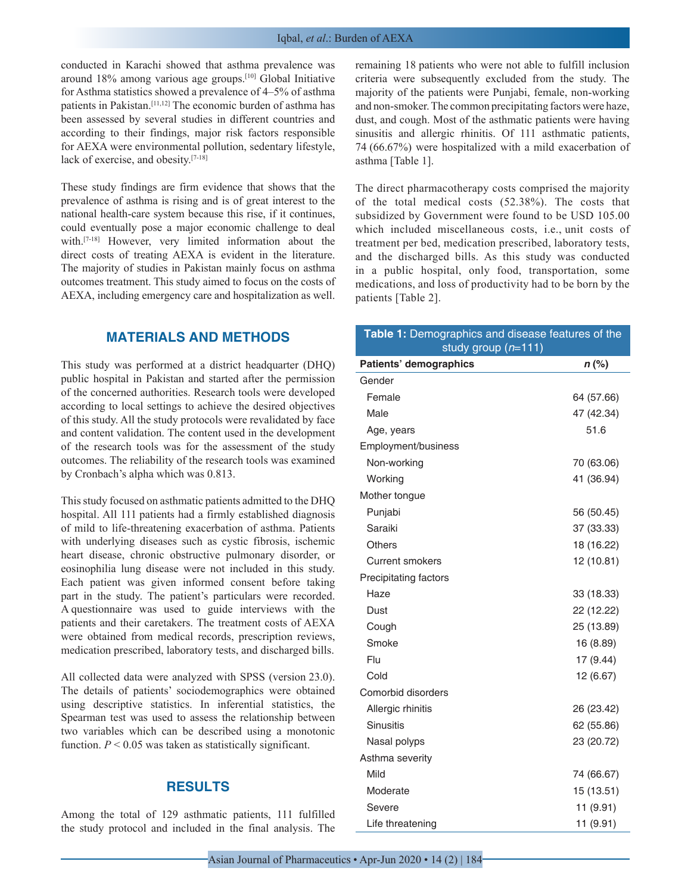conducted in Karachi showed that asthma prevalence was around 18% among various age groups.[10] Global Initiative for Asthma statistics showed a prevalence of 4–5% of asthma patients in Pakistan.[11,12] The economic burden of asthma has been assessed by several studies in different countries and according to their findings, major risk factors responsible for AEXA were environmental pollution, sedentary lifestyle, lack of exercise, and obesity.[7-18]

These study findings are firm evidence that shows that the prevalence of asthma is rising and is of great interest to the national health-care system because this rise, if it continues, could eventually pose a major economic challenge to deal with.[7-18] However, very limited information about the direct costs of treating AEXA is evident in the literature. The majority of studies in Pakistan mainly focus on asthma outcomes treatment. This study aimed to focus on the costs of AEXA, including emergency care and hospitalization as well.

## **MATERIALS AND METHODS**

This study was performed at a district headquarter (DHQ) public hospital in Pakistan and started after the permission of the concerned authorities. Research tools were developed according to local settings to achieve the desired objectives of this study. All the study protocols were revalidated by face and content validation. The content used in the development of the research tools was for the assessment of the study outcomes. The reliability of the research tools was examined by Cronbach's alpha which was 0.813.

This study focused on asthmatic patients admitted to the DHQ hospital. All 111 patients had a firmly established diagnosis of mild to life-threatening exacerbation of asthma. Patients with underlying diseases such as cystic fibrosis, ischemic heart disease, chronic obstructive pulmonary disorder, or eosinophilia lung disease were not included in this study. Each patient was given informed consent before taking part in the study. The patient's particulars were recorded. A questionnaire was used to guide interviews with the patients and their caretakers. The treatment costs of AEXA were obtained from medical records, prescription reviews, medication prescribed, laboratory tests, and discharged bills.

All collected data were analyzed with SPSS (version 23.0). The details of patients' sociodemographics were obtained using descriptive statistics. In inferential statistics, the Spearman test was used to assess the relationship between two variables which can be described using a monotonic function.  $P < 0.05$  was taken as statistically significant.

# **RESULTS**

Among the total of 129 asthmatic patients, 111 fulfilled the study protocol and included in the final analysis. The remaining 18 patients who were not able to fulfill inclusion criteria were subsequently excluded from the study. The majority of the patients were Punjabi, female, non-working and non-smoker. The common precipitating factors were haze, dust, and cough. Most of the asthmatic patients were having sinusitis and allergic rhinitis. Of 111 asthmatic patients, 74 (66.67%) were hospitalized with a mild exacerbation of asthma [Table 1].

The direct pharmacotherapy costs comprised the majority of the total medical costs (52.38%). The costs that subsidized by Government were found to be USD 105.00 which included miscellaneous costs, i.e., unit costs of treatment per bed, medication prescribed, laboratory tests, and the discharged bills. As this study was conducted in a public hospital, only food, transportation, some medications, and loss of productivity had to be born by the patients [Table 2].

| Table 1: Demographics and disease features of the<br>study group $(n=111)$ |            |  |  |
|----------------------------------------------------------------------------|------------|--|--|
| Patients' demographics                                                     | $n$ (%)    |  |  |
| Gender                                                                     |            |  |  |
| Female                                                                     | 64 (57.66) |  |  |
| Male                                                                       | 47 (42.34) |  |  |
| Age, years                                                                 | 51.6       |  |  |
| Employment/business                                                        |            |  |  |
| Non-working                                                                | 70 (63.06) |  |  |
| Working                                                                    | 41 (36.94) |  |  |
| Mother tongue                                                              |            |  |  |
| Punjabi                                                                    | 56 (50.45) |  |  |
| Saraiki                                                                    | 37 (33.33) |  |  |
| Others                                                                     | 18 (16.22) |  |  |
| <b>Current smokers</b>                                                     | 12 (10.81) |  |  |
| <b>Precipitating factors</b>                                               |            |  |  |
| Haze                                                                       | 33 (18.33) |  |  |
| Dust                                                                       | 22 (12.22) |  |  |
| Cough                                                                      | 25 (13.89) |  |  |
| Smoke                                                                      | 16 (8.89)  |  |  |
| Flu                                                                        | 17 (9.44)  |  |  |
| Cold                                                                       | 12 (6.67)  |  |  |
| Comorbid disorders                                                         |            |  |  |
| Allergic rhinitis                                                          | 26 (23.42) |  |  |
| <b>Sinusitis</b>                                                           | 62 (55.86) |  |  |
| Nasal polyps                                                               | 23 (20.72) |  |  |
| Asthma severity                                                            |            |  |  |
| Mild                                                                       | 74 (66.67) |  |  |
| Moderate                                                                   | 15 (13.51) |  |  |
| Severe                                                                     | 11 (9.91)  |  |  |
| Life threatening                                                           | 11 (9.91)  |  |  |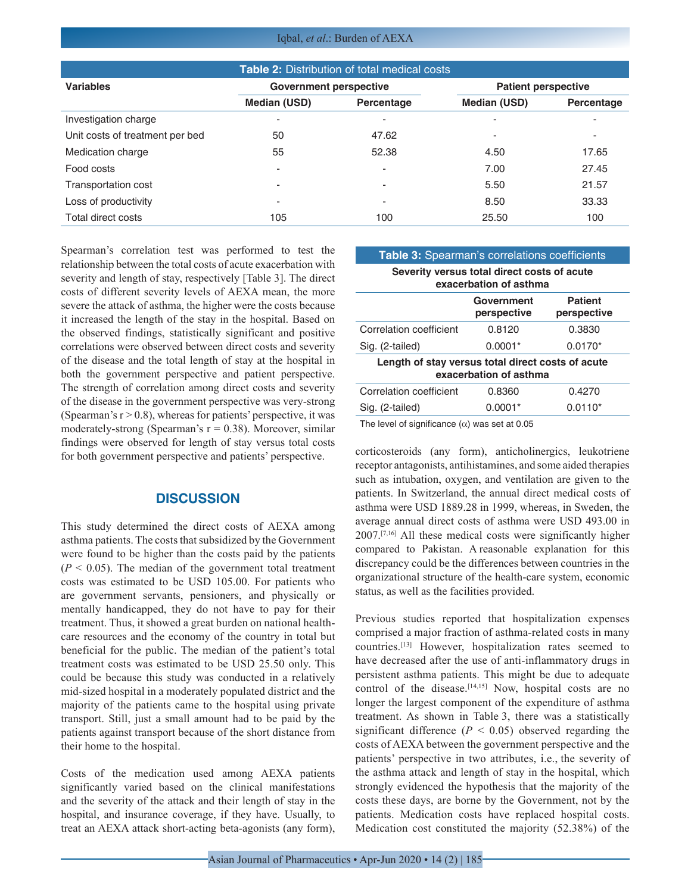Iqbal, *et al*.: Burden of AEXA

| <b>Table 2: Distribution of total medical costs</b> |                               |                          |                            |            |  |  |
|-----------------------------------------------------|-------------------------------|--------------------------|----------------------------|------------|--|--|
| <b>Variables</b>                                    | <b>Government perspective</b> |                          | <b>Patient perspective</b> |            |  |  |
|                                                     | Median (USD)                  | Percentage               | <b>Median (USD)</b>        | Percentage |  |  |
| Investigation charge                                | ۰                             | ٠                        | ۰                          |            |  |  |
| Unit costs of treatment per bed                     | 50                            | 47.62                    | -                          | ٠          |  |  |
| Medication charge                                   | 55                            | 52.38                    | 4.50                       | 17.65      |  |  |
| Food costs                                          | ٠                             | $\overline{\phantom{0}}$ | 7.00                       | 27.45      |  |  |
| <b>Transportation cost</b>                          | ٠                             | ٠                        | 5.50                       | 21.57      |  |  |
| Loss of productivity                                | ٠                             | ٠                        | 8.50                       | 33.33      |  |  |
| Total direct costs                                  | 105                           | 100                      | 25.50                      | 100        |  |  |

Spearman's correlation test was performed to test the relationship between the total costs of acute exacerbation with severity and length of stay, respectively [Table 3]. The direct costs of different severity levels of AEXA mean, the more severe the attack of asthma, the higher were the costs because it increased the length of the stay in the hospital. Based on the observed findings, statistically significant and positive correlations were observed between direct costs and severity of the disease and the total length of stay at the hospital in both the government perspective and patient perspective. The strength of correlation among direct costs and severity of the disease in the government perspective was very-strong (Spearman's  $r > 0.8$ ), whereas for patients' perspective, it was moderately-strong (Spearman's  $r = 0.38$ ). Moreover, similar findings were observed for length of stay versus total costs for both government perspective and patients' perspective.

## **DISCUSSION**

This study determined the direct costs of AEXA among asthma patients. The costs that subsidized by the Government were found to be higher than the costs paid by the patients  $(P < 0.05)$ . The median of the government total treatment costs was estimated to be USD 105.00. For patients who are government servants, pensioners, and physically or mentally handicapped, they do not have to pay for their treatment. Thus, it showed a great burden on national healthcare resources and the economy of the country in total but beneficial for the public. The median of the patient's total treatment costs was estimated to be USD 25.50 only. This could be because this study was conducted in a relatively mid-sized hospital in a moderately populated district and the majority of the patients came to the hospital using private transport. Still, just a small amount had to be paid by the patients against transport because of the short distance from their home to the hospital.

Costs of the medication used among AEXA patients significantly varied based on the clinical manifestations and the severity of the attack and their length of stay in the hospital, and insurance coverage, if they have. Usually, to treat an AEXA attack short-acting beta-agonists (any form),

#### **Table 3:** Spearman's correlations coefficients

**Severity versus total direct costs of acute** 

| exacerbation of asthma                            |                           |                               |  |  |  |  |
|---------------------------------------------------|---------------------------|-------------------------------|--|--|--|--|
|                                                   | Government<br>perspective | <b>Patient</b><br>perspective |  |  |  |  |
| Correlation coefficient                           | 0.8120                    | 0.3830                        |  |  |  |  |
| Sig. (2-tailed)                                   | $0.0001*$                 | $0.0170*$                     |  |  |  |  |
| Length of stay versus total direct costs of acute |                           |                               |  |  |  |  |
| exacerbation of asthma                            |                           |                               |  |  |  |  |
| Correlation coefficient                           | 0.8360                    | 0.4270                        |  |  |  |  |
| Sig. (2-tailed)                                   | $0.0001*$                 | $0.0110*$                     |  |  |  |  |

The level of significance  $(\alpha)$  was set at 0.05

corticosteroids (any form), anticholinergics, leukotriene receptor antagonists, antihistamines, and some aided therapies such as intubation, oxygen, and ventilation are given to the patients. In Switzerland, the annual direct medical costs of asthma were USD 1889.28 in 1999, whereas, in Sweden, the average annual direct costs of asthma were USD 493.00 in 2007.[7,16] All these medical costs were significantly higher compared to Pakistan. A reasonable explanation for this discrepancy could be the differences between countries in the organizational structure of the health-care system, economic status, as well as the facilities provided.

Previous studies reported that hospitalization expenses comprised a major fraction of asthma-related costs in many countries.[13] However, hospitalization rates seemed to have decreased after the use of anti-inflammatory drugs in persistent asthma patients. This might be due to adequate control of the disease.<sup>[14,15]</sup> Now, hospital costs are no longer the largest component of the expenditure of asthma treatment. As shown in Table 3, there was a statistically significant difference  $(P < 0.05)$  observed regarding the costs of AEXA between the government perspective and the patients' perspective in two attributes, i.e., the severity of the asthma attack and length of stay in the hospital, which strongly evidenced the hypothesis that the majority of the costs these days, are borne by the Government, not by the patients. Medication costs have replaced hospital costs. Medication cost constituted the majority (52.38%) of the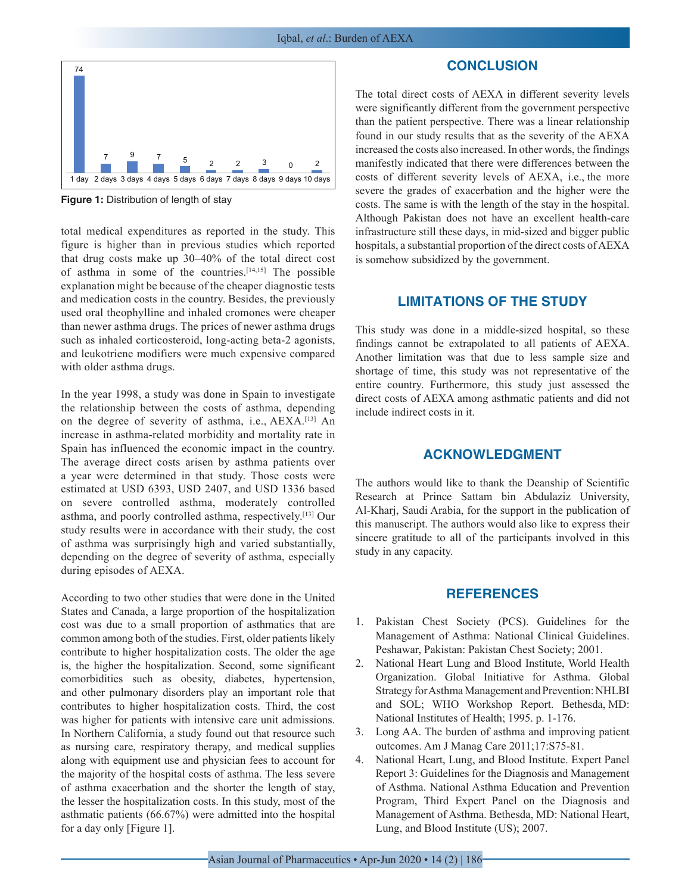

**Figure 1:** Distribution of length of stay

total medical expenditures as reported in the study. This figure is higher than in previous studies which reported that drug costs make up 30–40% of the total direct cost of asthma in some of the countries.[14,15] The possible explanation might be because of the cheaper diagnostic tests and medication costs in the country. Besides, the previously used oral theophylline and inhaled cromones were cheaper than newer asthma drugs. The prices of newer asthma drugs such as inhaled corticosteroid, long-acting beta-2 agonists, and leukotriene modifiers were much expensive compared with older asthma drugs.

In the year 1998, a study was done in Spain to investigate the relationship between the costs of asthma, depending on the degree of severity of asthma, i.e., AEXA.[13] An increase in asthma-related morbidity and mortality rate in Spain has influenced the economic impact in the country. The average direct costs arisen by asthma patients over a year were determined in that study. Those costs were estimated at USD 6393, USD 2407, and USD 1336 based on severe controlled asthma, moderately controlled asthma, and poorly controlled asthma, respectively.[13] Our study results were in accordance with their study, the cost of asthma was surprisingly high and varied substantially, depending on the degree of severity of asthma, especially during episodes of AEXA.

According to two other studies that were done in the United States and Canada, a large proportion of the hospitalization cost was due to a small proportion of asthmatics that are common among both of the studies. First, older patients likely contribute to higher hospitalization costs. The older the age is, the higher the hospitalization. Second, some significant comorbidities such as obesity, diabetes, hypertension, and other pulmonary disorders play an important role that contributes to higher hospitalization costs. Third, the cost was higher for patients with intensive care unit admissions. In Northern California, a study found out that resource such as nursing care, respiratory therapy, and medical supplies along with equipment use and physician fees to account for the majority of the hospital costs of asthma. The less severe of asthma exacerbation and the shorter the length of stay, the lesser the hospitalization costs. In this study, most of the asthmatic patients (66.67%) were admitted into the hospital for a day only [Figure 1].

#### **CONCLUSION**

The total direct costs of AEXA in different severity levels were significantly different from the government perspective than the patient perspective. There was a linear relationship found in our study results that as the severity of the AEXA increased the costs also increased. In other words, the findings manifestly indicated that there were differences between the costs of different severity levels of AEXA, i.e., the more severe the grades of exacerbation and the higher were the costs. The same is with the length of the stay in the hospital. Although Pakistan does not have an excellent health-care infrastructure still these days, in mid-sized and bigger public hospitals, a substantial proportion of the direct costs of AEXA is somehow subsidized by the government.

#### **LIMITATIONS OF THE STUDY**

This study was done in a middle-sized hospital, so these findings cannot be extrapolated to all patients of AEXA. Another limitation was that due to less sample size and shortage of time, this study was not representative of the entire country. Furthermore, this study just assessed the direct costs of AEXA among asthmatic patients and did not include indirect costs in it.

# **ACKNOWLEDGMENT**

The authors would like to thank the Deanship of Scientific Research at Prince Sattam bin Abdulaziz University, Al-Kharj, Saudi Arabia, for the support in the publication of this manuscript. The authors would also like to express their sincere gratitude to all of the participants involved in this study in any capacity.

#### **REFERENCES**

- 1. Pakistan Chest Society (PCS). Guidelines for the Management of Asthma: National Clinical Guidelines. Peshawar, Pakistan: Pakistan Chest Society; 2001.
- 2. National Heart Lung and Blood Institute, World Health Organization. Global Initiative for Asthma. Global Strategy for Asthma Management and Prevention: NHLBI and SOL; WHO Workshop Report. Bethesda, MD: National Institutes of Health; 1995. p. 1-176.
- 3. Long AA. The burden of asthma and improving patient outcomes. Am J Manag Care 2011;17:S75-81.
- 4. National Heart, Lung, and Blood Institute. Expert Panel Report 3: Guidelines for the Diagnosis and Management of Asthma. National Asthma Education and Prevention Program, Third Expert Panel on the Diagnosis and Management of Asthma. Bethesda, MD: National Heart, Lung, and Blood Institute (US); 2007.